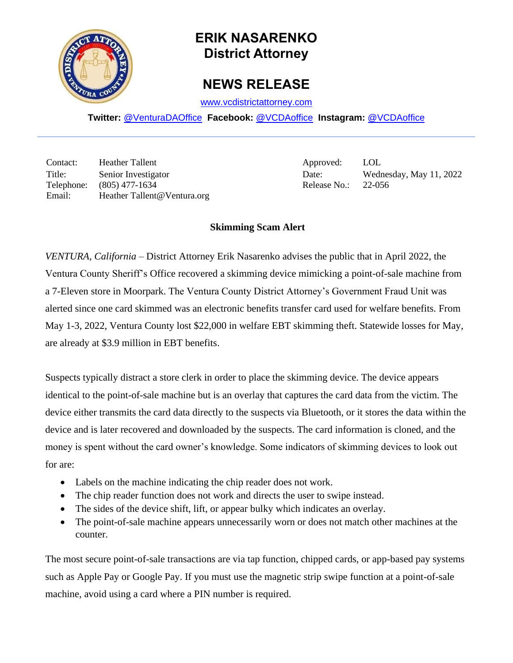

## **ERIK NASARENKO District Attorney**

## **NEWS RELEASE**

[www.vcdistrictattorney.com](http://www.vcdistrictattorney.com/)

**Twitter:** [@VenturaDAOffice](https://twitter.com/venturadaoffice) **Facebook:** [@VCDAoffice](https://facebook.com/VCDAoffice) **Instagram:** [@VCDAoffice](https://instagram.com/VCDAoffice)

Contact: Heather Tallent Approved: LOL Title: Senior Investigator Date: Wednesday, May 11, 2022 Telephone: (805) 477-1634 Release No.: 22-056 Email: Heather Tallent@Ventura.org

## **Skimming Scam Alert**

*VENTURA, California* – District Attorney Erik Nasarenko advises the public that in April 2022, the Ventura County Sheriff's Office recovered a skimming device mimicking a point-of-sale machine from a 7-Eleven store in Moorpark. The Ventura County District Attorney's Government Fraud Unit was alerted since one card skimmed was an electronic benefits transfer card used for welfare benefits. From May 1-3, 2022, Ventura County lost \$22,000 in welfare EBT skimming theft. Statewide losses for May, are already at \$3.9 million in EBT benefits.

Suspects typically distract a store clerk in order to place the skimming device. The device appears identical to the point-of-sale machine but is an overlay that captures the card data from the victim. The device either transmits the card data directly to the suspects via Bluetooth, or it stores the data within the device and is later recovered and downloaded by the suspects. The card information is cloned, and the money is spent without the card owner's knowledge. Some indicators of skimming devices to look out for are:

- Labels on the machine indicating the chip reader does not work.
- The chip reader function does not work and directs the user to swipe instead.
- The sides of the device shift, lift, or appear bulky which indicates an overlay.
- The point-of-sale machine appears unnecessarily worn or does not match other machines at the counter.

The most secure point-of-sale transactions are via tap function, chipped cards, or app-based pay systems such as Apple Pay or Google Pay. If you must use the magnetic strip swipe function at a point-of-sale machine, avoid using a card where a PIN number is required.